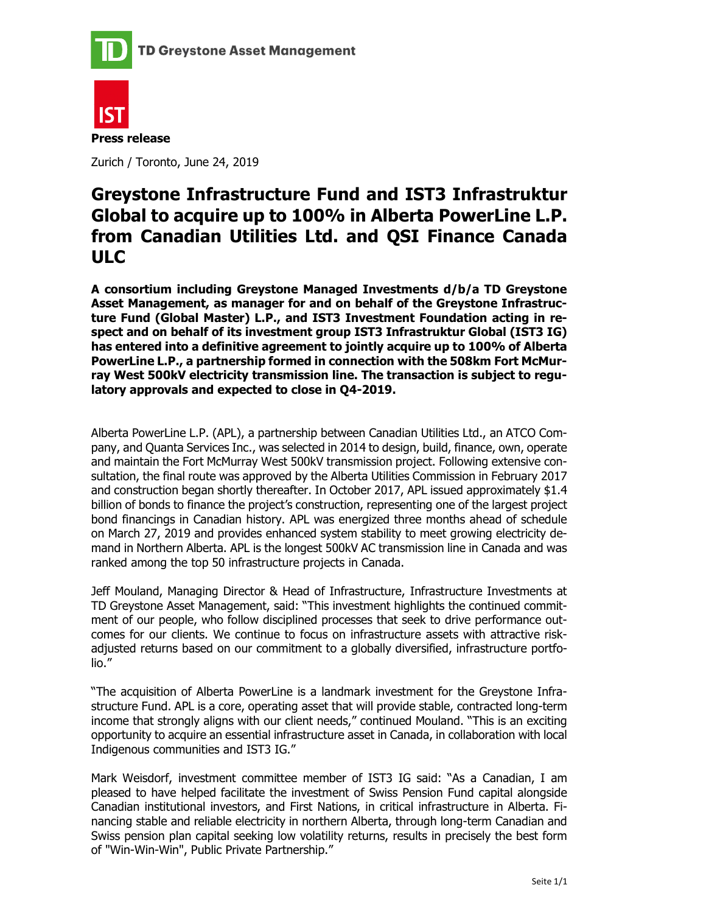



Zurich / Toronto, June 24, 2019

# Greystone Infrastructure Fund and IST3 Infrastruktur Global to acquire up to 100% in Alberta PowerLine L.P. from Canadian Utilities Ltd. and QSI Finance Canada ULC

A consortium including Greystone Managed Investments d/b/a TD Greystone Asset Management, as manager for and on behalf of the Greystone Infrastructure Fund (Global Master) L.P., and IST3 Investment Foundation acting in respect and on behalf of its investment group IST3 Infrastruktur Global (IST3 IG) has entered into a definitive agreement to jointly acquire up to 100% of Alberta PowerLine L.P., a partnership formed in connection with the 508km Fort McMurray West 500kV electricity transmission line. The transaction is subject to regulatory approvals and expected to close in Q4-2019.

Alberta PowerLine L.P. (APL), a partnership between Canadian Utilities Ltd., an ATCO Company, and Quanta Services Inc., was selected in 2014 to design, build, finance, own, operate and maintain the Fort McMurray West 500kV transmission project. Following extensive consultation, the final route was approved by the Alberta Utilities Commission in February 2017 and construction began shortly thereafter. In October 2017, APL issued approximately \$1.4 billion of bonds to finance the project's construction, representing one of the largest project bond financings in Canadian history. APL was energized three months ahead of schedule on March 27, 2019 and provides enhanced system stability to meet growing electricity demand in Northern Alberta. APL is the longest 500kV AC transmission line in Canada and was ranked among the top 50 infrastructure projects in Canada.

Jeff Mouland, Managing Director & Head of Infrastructure, Infrastructure Investments at TD Greystone Asset Management, said: "This investment highlights the continued commitment of our people, who follow disciplined processes that seek to drive performance outcomes for our clients. We continue to focus on infrastructure assets with attractive riskadjusted returns based on our commitment to a globally diversified, infrastructure portfolio."

"The acquisition of Alberta PowerLine is a landmark investment for the Greystone Infrastructure Fund. APL is a core, operating asset that will provide stable, contracted long-term income that strongly aligns with our client needs," continued Mouland. "This is an exciting opportunity to acquire an essential infrastructure asset in Canada, in collaboration with local Indigenous communities and IST3 IG."

Mark Weisdorf, investment committee member of IST3 IG said: "As a Canadian, I am pleased to have helped facilitate the investment of Swiss Pension Fund capital alongside Canadian institutional investors, and First Nations, in critical infrastructure in Alberta. Financing stable and reliable electricity in northern Alberta, through long-term Canadian and Swiss pension plan capital seeking low volatility returns, results in precisely the best form of "Win-Win-Win", Public Private Partnership."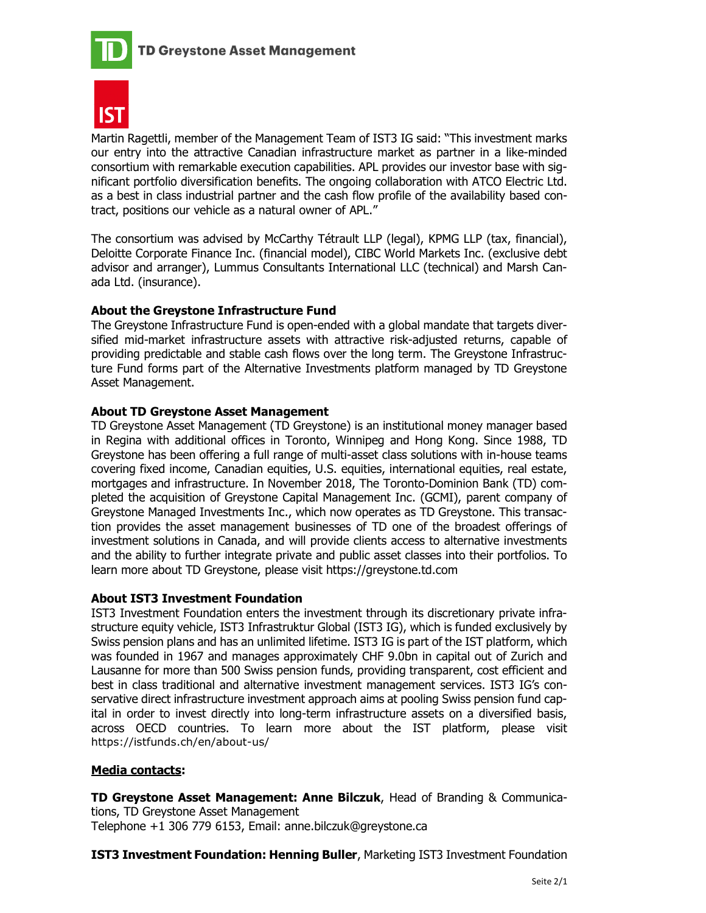



Martin Ragettli, member of the Management Team of IST3 IG said: "This investment marks our entry into the attractive Canadian infrastructure market as partner in a like-minded consortium with remarkable execution capabilities. APL provides our investor base with significant portfolio diversification benefits. The ongoing collaboration with ATCO Electric Ltd. as a best in class industrial partner and the cash flow profile of the availability based contract, positions our vehicle as a natural owner of APL."

The consortium was advised by McCarthy Tétrault LLP (legal), KPMG LLP (tax, financial), Deloitte Corporate Finance Inc. (financial model), CIBC World Markets Inc. (exclusive debt advisor and arranger), Lummus Consultants International LLC (technical) and Marsh Canada Ltd. (insurance).

## About the Greystone Infrastructure Fund

The Greystone Infrastructure Fund is open-ended with a global mandate that targets diversified mid-market infrastructure assets with attractive risk-adjusted returns, capable of providing predictable and stable cash flows over the long term. The Greystone Infrastructure Fund forms part of the Alternative Investments platform managed by TD Greystone Asset Management.

### About TD Greystone Asset Management

TD Greystone Asset Management (TD Greystone) is an institutional money manager based in Regina with additional offices in Toronto, Winnipeg and Hong Kong. Since 1988, TD Greystone has been offering a full range of multi-asset class solutions with in-house teams covering fixed income, Canadian equities, U.S. equities, international equities, real estate, mortgages and infrastructure. In November 2018, The Toronto-Dominion Bank (TD) completed the acquisition of Greystone Capital Management Inc. (GCMI), parent company of Greystone Managed Investments Inc., which now operates as TD Greystone. This transaction provides the asset management businesses of TD one of the broadest offerings of investment solutions in Canada, and will provide clients access to alternative investments and the ability to further integrate private and public asset classes into their portfolios. To learn more about TD Greystone, please visit https://greystone.td.com

#### About IST3 Investment Foundation

IST3 Investment Foundation enters the investment through its discretionary private infrastructure equity vehicle, IST3 Infrastruktur Global (IST3 IG), which is funded exclusively by Swiss pension plans and has an unlimited lifetime. IST3 IG is part of the IST platform, which was founded in 1967 and manages approximately CHF 9.0bn in capital out of Zurich and Lausanne for more than 500 Swiss pension funds, providing transparent, cost efficient and best in class traditional and alternative investment management services. IST3 IG's conservative direct infrastructure investment approach aims at pooling Swiss pension fund capital in order to invest directly into long-term infrastructure assets on a diversified basis, across OECD countries. To learn more about the IST platform, please visit https://istfunds.ch/en/about-us/

#### Media contacts:

TD Greystone Asset Management: Anne Bilczuk, Head of Branding & Communications, TD Greystone Asset Management Telephone +1 306 779 6153, Email: anne.bilczuk@greystone.ca

## IST3 Investment Foundation: Henning Buller, Marketing IST3 Investment Foundation